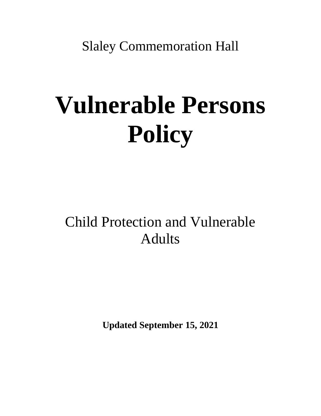Slaley Commemoration Hall

# **Vulnerable Persons Policy**

## Child Protection and Vulnerable Adults

**Updated September 15, 2021**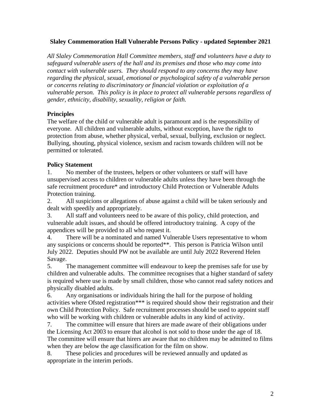#### **Slaley Commemoration Hall Vulnerable Persons Policy - updated September 2021**

*All Slaley Commemoration Hall Committee members, staff and volunteers have a duty to safeguard vulnerable users of the hall and its premises and those who may come into contact with vulnerable users. They should respond to any concerns they may have regarding the physical, sexual, emotional or psychological safety of a vulnerable person or concerns relating to discriminatory or financial violation or exploitation of a vulnerable person. This policy is in place to protect all vulnerable persons regardless of gender, ethnicity, disability, sexuality, religion or faith.*

#### **Principles**

The welfare of the child or vulnerable adult is paramount and is the responsibility of everyone. All children and vulnerable adults, without exception, have the right to protection from abuse, whether physical, verbal, sexual, bullying, exclusion or neglect. Bullying, shouting, physical violence, sexism and racism towards children will not be permitted or tolerated.

#### **Policy Statement**

1. No member of the trustees, helpers or other volunteers or staff will have unsupervised access to children or vulnerable adults unless they have been through the safe recruitment procedure\* and introductory Child Protection or Vulnerable Adults Protection training.

2. All suspicions or allegations of abuse against a child will be taken seriously and dealt with speedily and appropriately.

3. All staff and volunteers need to be aware of this policy, child protection, and vulnerable adult issues, and should be offered introductory training. A copy of the appendices will be provided to all who request it.

4. There will be a nominated and named Vulnerable Users representative to whom any suspicions or concerns should be reported\*\*. This person is Patricia Wilson until July 2022. Deputies should PW not be available are until July 2022 Reverend Helen Savage.

5. The management committee will endeavour to keep the premises safe for use by children and vulnerable adults. The committee recognises that a higher standard of safety is required where use is made by small children, those who cannot read safety notices and physically disabled adults.

6. Any organisations or individuals hiring the hall for the purpose of holding activities where Ofsted registration\*\*\* is required should show their registration and their own Child Protection Policy. Safe recruitment processes should be used to appoint staff who will be working with children or vulnerable adults in any kind of activity.

7. The committee will ensure that hirers are made aware of their obligations under the Licensing Act 2003 to ensure that alcohol is not sold to those under the age of 18. The committee will ensure that hirers are aware that no children may be admitted to films when they are below the age classification for the film on show.

8. These policies and procedures will be reviewed annually and updated as appropriate in the interim periods.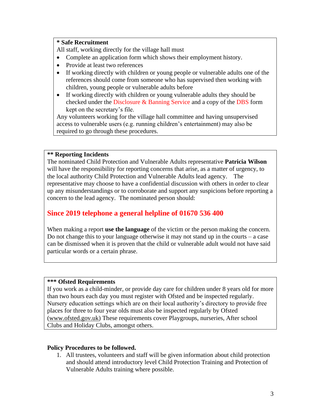#### **\* Safe Recruitment**

All staff, working directly for the village hall must

- Complete an application form which shows their employment history.
- Provide at least two references
- If working directly with children or young people or vulnerable adults one of the references should come from someone who has supervised then working with children, young people or vulnerable adults before
- If working directly with children or young vulnerable adults they should be checked under the Disclosure & Banning Service and a copy of the DBS form kept on the secretary's file.

Any volunteers working for the village hall committee and having unsupervised access to vulnerable users (e.g. running children's entertainment) may also be required to go through these procedures.

#### **\*\* Reporting Incidents**

The nominated Child Protection and Vulnerable Adults representative **Patricia Wilson**  will have the responsibility for reporting concerns that arise, as a matter of urgency, to the local authority Child Protection and Vulnerable Adults lead agency. The representative may choose to have a confidential discussion with others in order to clear up any misunderstandings or to corroborate and support any suspicions before reporting a concern to the lead agency. The nominated person should:

### **Since 2019 telephone a general helpline of 01670 536 400**

When making a report **use the language** of the victim or the person making the concern. Do not change this to your language otherwise it may not stand up in the courts  $-$  a case can be dismissed when it is proven that the child or vulnerable adult would not have said particular words or a certain phrase.

#### **\*\*\* Ofsted Requirements**

If you work as a child-minder, or provide day care for children under 8 years old for more than two hours each day you must register with Ofsted and be inspected regularly. Nursery education settings which are on their local authority's directory to provide free places for three to four year olds must also be inspected regularly by Ofsted [\(www.ofsted.gov.uk\)](http://www.ofsted.gov.uk/) These requirements cover Playgroups, nurseries, After school Clubs and Holiday Clubs, amongst others.

#### **Policy Procedures to be followed.**

1. All trustees, volunteers and staff will be given information about child protection and should attend introductory level Child Protection Training and Protection of Vulnerable Adults training where possible.